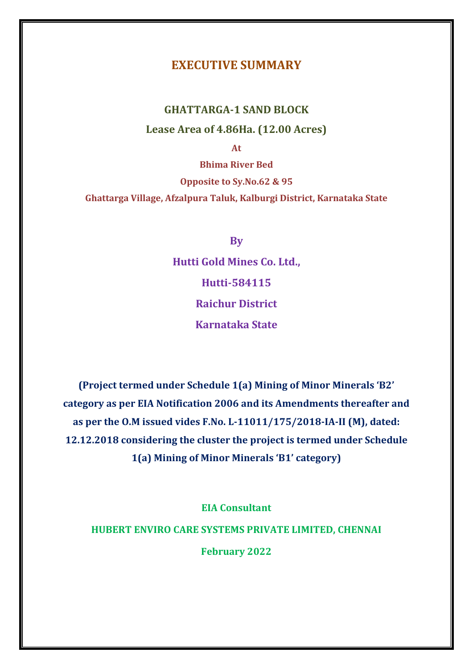# **EXECUTIVE SUMMARY**

# **GHATTARGA-1 SAND BLOCK Lease Area of 4.86Ha. (12.00 Acres)**

**At** 

**Bhima River Bed Opposite to Sy.No.62 & 95 Ghattarga Village, Afzalpura Taluk, Kalburgi District, Karnataka State**

**By**

**Hutti Gold Mines Co. Ltd., Hutti-584115 Raichur District Karnataka State**

**(Project termed under Schedule 1(a) Mining of Minor Minerals 'B2' category as per EIA Notification 2006 and its Amendments thereafter and as per the O.M issued vides F.No. L-11011/175/2018-IA-II (M), dated: 12.12.2018 considering the cluster the project is termed under Schedule 1(a) Mining of Minor Minerals 'B1' category)**

**EIA Consultant**

**HUBERT ENVIRO CARE SYSTEMS PRIVATE LIMITED, CHENNAI**

**February 2022**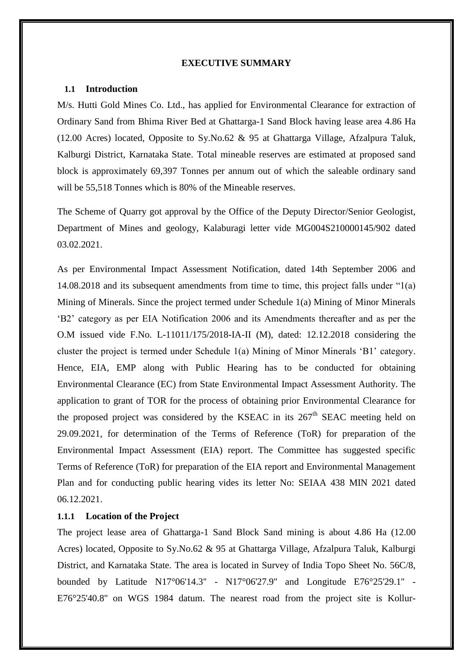#### **EXECUTIVE SUMMARY**

## **1.1 Introduction**

M/s. Hutti Gold Mines Co. Ltd., has applied for Environmental Clearance for extraction of Ordinary Sand from Bhima River Bed at Ghattarga-1 Sand Block having lease area 4.86 Ha (12.00 Acres) located, Opposite to Sy.No.62 & 95 at Ghattarga Village, Afzalpura Taluk, Kalburgi District, Karnataka State. Total mineable reserves are estimated at proposed sand block is approximately 69,397 Tonnes per annum out of which the saleable ordinary sand will be 55,518 Tonnes which is 80% of the Mineable reserves.

The Scheme of Quarry got approval by the Office of the Deputy Director/Senior Geologist, Department of Mines and geology, Kalaburagi letter vide MG004S210000145/902 dated 03.02.2021.

As per Environmental Impact Assessment Notification, dated 14th September 2006 and 14.08.2018 and its subsequent amendments from time to time, this project falls under "1(a) Mining of Minerals. Since the project termed under Schedule 1(a) Mining of Minor Minerals 'B2' category as per EIA Notification 2006 and its Amendments thereafter and as per the O.M issued vide F.No. L-11011/175/2018-IA-II (M), dated: 12.12.2018 considering the cluster the project is termed under Schedule 1(a) Mining of Minor Minerals 'B1' category. Hence, EIA, EMP along with Public Hearing has to be conducted for obtaining Environmental Clearance (EC) from State Environmental Impact Assessment Authority. The application to grant of TOR for the process of obtaining prior Environmental Clearance for the proposed project was considered by the KSEAC in its  $267<sup>th</sup>$  SEAC meeting held on 29.09.2021, for determination of the Terms of Reference (ToR) for preparation of the Environmental Impact Assessment (EIA) report. The Committee has suggested specific Terms of Reference (ToR) for preparation of the EIA report and Environmental Management Plan and for conducting public hearing vides its letter No: SEIAA 438 MIN 2021 dated 06.12.2021.

# **1.1.1 Location of the Project**

The project lease area of Ghattarga-1 Sand Block Sand mining is about 4.86 Ha (12.00 Acres) located, Opposite to Sy.No.62 & 95 at Ghattarga Village, Afzalpura Taluk, Kalburgi District, and Karnataka State. The area is located in Survey of India Topo Sheet No. 56C/8, bounded by Latitude N17°06'14.3'' - N17°06'27.9'' and Longitude E76°25'29.1'' - E76°25'40.8'' on WGS 1984 datum. The nearest road from the project site is Kollur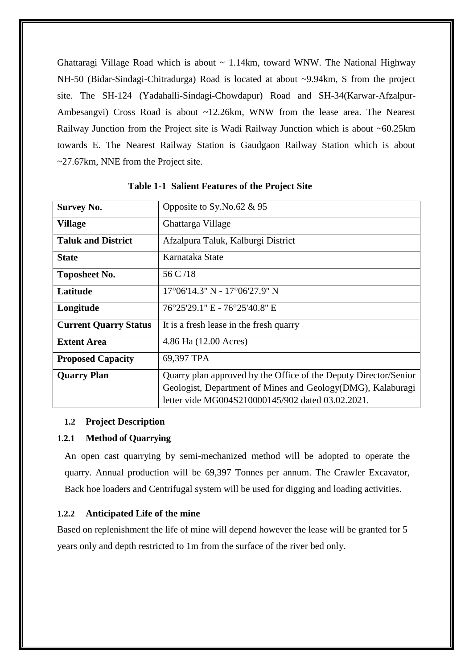Ghattaragi Village Road which is about  $\sim 1.14 \text{km}$ , toward WNW. The National Highway NH-50 (Bidar-Sindagi-Chitradurga) Road is located at about ~9.94km, S from the project site. The SH-124 (Yadahalli-Sindagi-Chowdapur) Road and SH-34(Karwar-Afzalpur-Ambesangvi) Cross Road is about ~12.26km, WNW from the lease area. The Nearest Railway Junction from the Project site is Wadi Railway Junction which is about ~60.25km towards E. The Nearest Railway Station is Gaudgaon Railway Station which is about ~27.67km, NNE from the Project site.

| <b>Survey No.</b>            | Opposite to Sy. No. 62 & 95                                      |  |  |
|------------------------------|------------------------------------------------------------------|--|--|
| <b>Village</b>               | Ghattarga Village                                                |  |  |
| <b>Taluk and District</b>    | Afzalpura Taluk, Kalburgi District                               |  |  |
| <b>State</b>                 | Karnataka State                                                  |  |  |
| <b>Toposheet No.</b>         | 56 C /18                                                         |  |  |
| Latitude                     | 17°06'14.3" N - 17°06'27.9" N                                    |  |  |
| Longitude                    | 76°25'29.1" E - 76°25'40.8" E                                    |  |  |
| <b>Current Quarry Status</b> | It is a fresh lease in the fresh quarry                          |  |  |
| <b>Extent Area</b>           | 4.86 Ha (12.00 Acres)                                            |  |  |
| <b>Proposed Capacity</b>     | 69,397 TPA                                                       |  |  |
| <b>Quarry Plan</b>           | Quarry plan approved by the Office of the Deputy Director/Senior |  |  |
|                              | Geologist, Department of Mines and Geology(DMG), Kalaburagi      |  |  |
|                              | letter vide MG004S210000145/902 dated 03.02.2021.                |  |  |

# **Table 1-1 Salient Features of the Project Site**

# **1.2 Project Description**

## **1.2.1 Method of Quarrying**

An open cast quarrying by semi-mechanized method will be adopted to operate the quarry. Annual production will be 69,397 Tonnes per annum. The Crawler Excavator, Back hoe loaders and Centrifugal system will be used for digging and loading activities.

## **1.2.2 Anticipated Life of the mine**

Based on replenishment the life of mine will depend however the lease will be granted for 5 years only and depth restricted to 1m from the surface of the river bed only.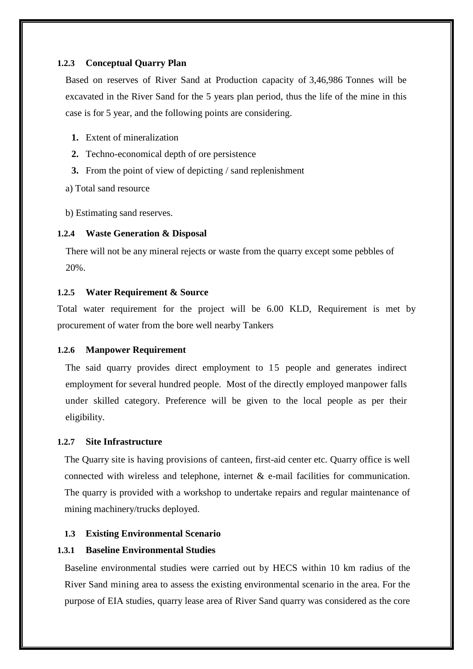## **1.2.3 Conceptual Quarry Plan**

Based on reserves of River Sand at Production capacity of 3,46,986 Tonnes will be excavated in the River Sand for the 5 years plan period, thus the life of the mine in this case is for 5 year, and the following points are considering.

- **1.** Extent of mineralization
- **2.** Techno-economical depth of ore persistence
- **3.** From the point of view of depicting / sand replenishment

a) Total sand resource

b) Estimating sand reserves.

## **1.2.4 Waste Generation & Disposal**

There will not be any mineral rejects or waste from the quarry except some pebbles of 20%.

## **1.2.5 Water Requirement & Source**

Total water requirement for the project will be 6.00 KLD, Requirement is met by procurement of water from the bore well nearby Tankers

#### **1.2.6 Manpower Requirement**

The said quarry provides direct employment to 15 people and generates indirect employment for several hundred people. Most of the directly employed manpower falls under skilled category. Preference will be given to the local people as per their eligibility.

#### **1.2.7 Site Infrastructure**

The Quarry site is having provisions of canteen, first-aid center etc. Quarry office is well connected with wireless and telephone, internet  $\&$  e-mail facilities for communication. The quarry is provided with a workshop to undertake repairs and regular maintenance of mining machinery/trucks deployed.

#### **1.3 Existing Environmental Scenario**

# **1.3.1 Baseline Environmental Studies**

Baseline environmental studies were carried out by HECS within 10 km radius of the River Sand mining area to assess the existing environmental scenario in the area. For the purpose of EIA studies, quarry lease area of River Sand quarry was considered as the core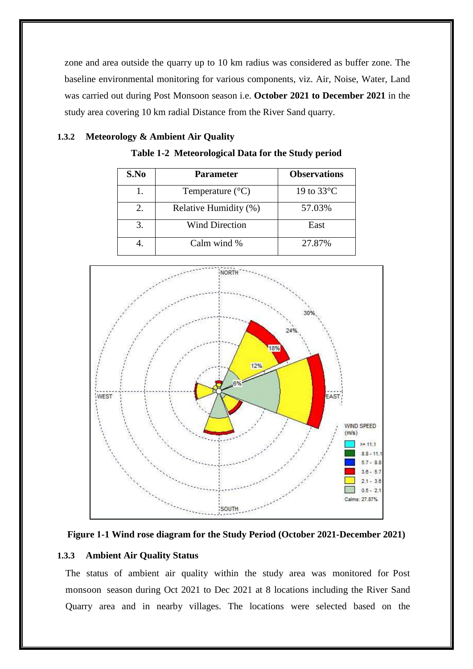zone and area outside the quarry up to 10 km radius was considered as buffer zone. The baseline environmental monitoring for various components, viz. Air, Noise, Water, Land was carried out during Post Monsoon season i.e. **October 2021 to December 2021** in the study area covering 10 km radial Distance from the River Sand quarry.

# **1.3.2 Meteorology & Ambient Air Quality**



| S.No | <b>Parameter</b>          | <b>Observations</b>  |
|------|---------------------------|----------------------|
|      | Temperature $(^{\circ}C)$ | 19 to $33^{\circ}$ C |
| 2.   | Relative Humidity (%)     | 57.03%               |
| 3.   | <b>Wind Direction</b>     | East                 |
|      | Calm wind %               | 27.87%               |





# **1.3.3 Ambient Air Quality Status**

The status of ambient air quality within the study area was monitored for Post monsoon season during Oct 2021 to Dec 2021 at 8 locations including the River Sand Quarry area and in nearby villages. The locations were selected based on the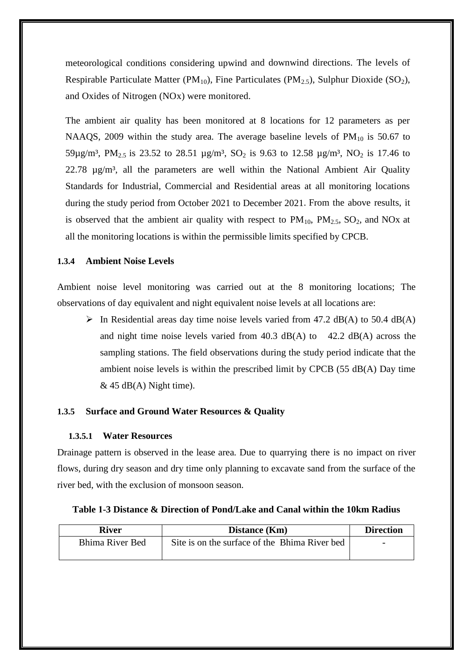meteorological conditions considering upwind and downwind directions. The levels of Respirable Particulate Matter (PM<sub>10</sub>), Fine Particulates (PM<sub>2.5</sub>), Sulphur Dioxide (SO<sub>2</sub>), and Oxides of Nitrogen (NOx) were monitored.

The ambient air quality has been monitored at 8 locations for 12 parameters as per NAAQS, 2009 within the study area. The average baseline levels of  $PM_{10}$  is 50.67 to 59µg/m<sup>3</sup>, PM<sub>2.5</sub> is 23.52 to 28.51 µg/m<sup>3</sup>, SO<sub>2</sub> is 9.63 to 12.58 µg/m<sup>3</sup>, NO<sub>2</sub> is 17.46 to 22.78  $\mu$ g/m<sup>3</sup>, all the parameters are well within the National Ambient Air Quality Standards for Industrial, Commercial and Residential areas at all monitoring locations during the study period from October 2021 to December 2021. From the above results, it is observed that the ambient air quality with respect to  $PM_{10}$ ,  $PM_{2.5}$ ,  $SO_2$ , and NOx at all the monitoring locations is within the permissible limits specified by CPCB.

# **1.3.4 Ambient Noise Levels**

Ambient noise level monitoring was carried out at the 8 monitoring locations; The observations of day equivalent and night equivalent noise levels at all locations are:

 $\triangleright$  In Residential areas day time noise levels varied from 47.2 dB(A) to 50.4 dB(A) and night time noise levels varied from  $40.3$  dB(A) to  $42.2$  dB(A) across the sampling stations. The field observations during the study period indicate that the ambient noise levels is within the prescribed limit by CPCB (55 dB(A) Day time  $&$  45 dB(A) Night time).

## **1.3.5 Surface and Ground Water Resources & Quality**

## **1.3.5.1 Water Resources**

Drainage pattern is observed in the lease area. Due to quarrying there is no impact on river flows, during dry season and dry time only planning to excavate sand from the surface of the river bed, with the exclusion of monsoon season.

| River           | Distance (Km)                                 | <b>Direction</b>         |
|-----------------|-----------------------------------------------|--------------------------|
| Bhima River Bed | Site is on the surface of the Bhima River bed | $\overline{\phantom{0}}$ |
|                 |                                               |                          |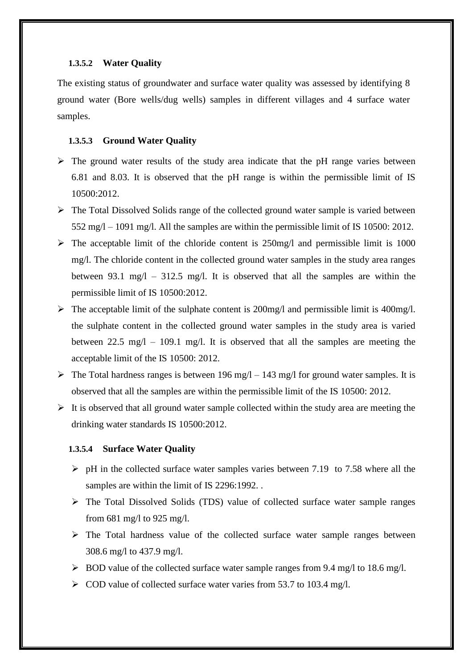# **1.3.5.2 Water Quality**

The existing status of groundwater and surface water quality was assessed by identifying 8 ground water (Bore wells/dug wells) samples in different villages and 4 surface water samples.

#### **1.3.5.3 Ground Water Quality**

- $\triangleright$  The ground water results of the study area indicate that the pH range varies between 6.81 and 8.03. It is observed that the pH range is within the permissible limit of IS 10500:2012.
- $\triangleright$  The Total Dissolved Solids range of the collected ground water sample is varied between 552 mg/l – 1091 mg/l. All the samples are within the permissible limit of IS 10500: 2012.
- $\triangleright$  The acceptable limit of the chloride content is 250mg/l and permissible limit is 1000 mg/l. The chloride content in the collected ground water samples in the study area ranges between 93.1 mg/l – 312.5 mg/l. It is observed that all the samples are within the permissible limit of IS 10500:2012.
- $\triangleright$  The acceptable limit of the sulphate content is 200mg/l and permissible limit is 400mg/l. the sulphate content in the collected ground water samples in the study area is varied between  $22.5 \text{ mg}/\text{l} - 109.1 \text{ mg}/\text{l}$ . It is observed that all the samples are meeting the acceptable limit of the IS 10500: 2012.
- $\triangleright$  The Total hardness ranges is between 196 mg/l 143 mg/l for ground water samples. It is observed that all the samples are within the permissible limit of the IS 10500: 2012.
- $\triangleright$  It is observed that all ground water sample collected within the study area are meeting the drinking water standards IS 10500:2012.

#### **1.3.5.4 Surface Water Quality**

- $\triangleright$  pH in the collected surface water samples varies between 7.19 to 7.58 where all the samples are within the limit of IS 2296:1992. .
- $\triangleright$  The Total Dissolved Solids (TDS) value of collected surface water sample ranges from 681 mg/l to 925 mg/l.
- $\triangleright$  The Total hardness value of the collected surface water sample ranges between 308.6 mg/l to 437.9 mg/l.
- $\triangleright$  BOD value of the collected surface water sample ranges from 9.4 mg/l to 18.6 mg/l.
- $\geq$  COD value of collected surface water varies from 53.7 to 103.4 mg/l.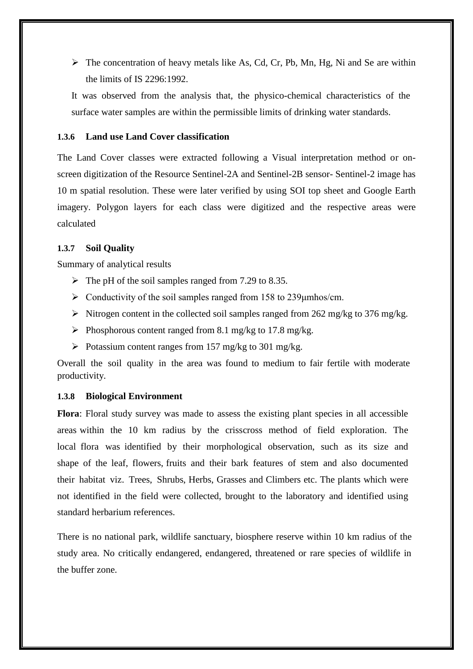$\triangleright$  The concentration of heavy metals like As, Cd, Cr, Pb, Mn, Hg, Ni and Se are within the limits of IS 2296:1992.

It was observed from the analysis that, the physico-chemical characteristics of the surface water samples are within the permissible limits of drinking water standards.

# **1.3.6 Land use Land Cover classification**

The Land Cover classes were extracted following a Visual interpretation method or onscreen digitization of the Resource Sentinel-2A and Sentinel-2B sensor- Sentinel-2 image has 10 m spatial resolution. These were later verified by using SOI top sheet and Google Earth imagery. Polygon layers for each class were digitized and the respective areas were calculated

# **1.3.7 Soil Quality**

Summary of analytical results

- $\triangleright$  The pH of the soil samples ranged from 7.29 to 8.35.
- $\triangleright$  Conductivity of the soil samples ranged from 158 to 239 µmhos/cm.
- $\triangleright$  Nitrogen content in the collected soil samples ranged from 262 mg/kg to 376 mg/kg.
- Phosphorous content ranged from 8.1 mg/kg to 17.8 mg/kg.
- $\triangleright$  Potassium content ranges from 157 mg/kg to 301 mg/kg.

Overall the soil quality in the area was found to medium to fair fertile with moderate productivity.

# **1.3.8 Biological Environment**

**Flora**: Floral study survey was made to assess the existing plant species in all accessible areas within the 10 km radius by the crisscross method of field exploration. The local flora was identified by their morphological observation, such as its size and shape of the leaf, flowers, fruits and their bark features of stem and also documented their habitat viz. Trees, Shrubs, Herbs, Grasses and Climbers etc. The plants which were not identified in the field were collected, brought to the laboratory and identified using standard herbarium references.

There is no national park, wildlife sanctuary, biosphere reserve within 10 km radius of the study area. No critically endangered, endangered, threatened or rare species of wildlife in the buffer zone.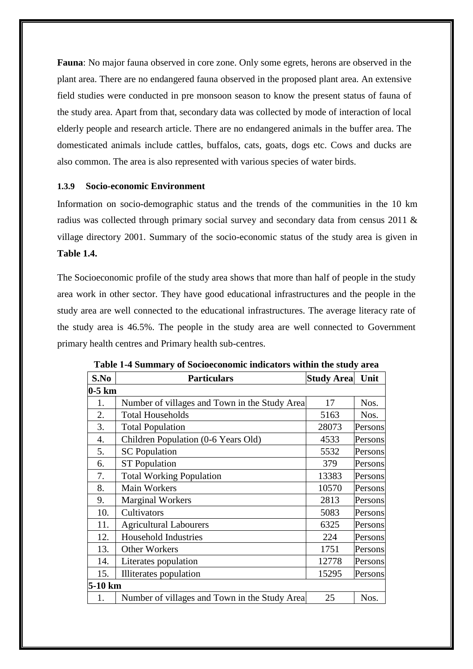**Fauna**: No major fauna observed in core zone. Only some egrets, herons are observed in the plant area. There are no endangered fauna observed in the proposed plant area. An extensive field studies were conducted in pre monsoon season to know the present status of fauna of the study area. Apart from that, secondary data was collected by mode of interaction of local elderly people and research article. There are no endangered animals in the buffer area. The domesticated animals include cattles, buffalos, cats, goats, dogs etc. Cows and ducks are also common. The area is also represented with various species of water birds.

# **1.3.9 Socio-economic Environment**

Information on socio-demographic status and the trends of the communities in the 10 km radius was collected through primary social survey and secondary data from census 2011 & village directory 2001. Summary of the socio-economic status of the study area is given in **Table 1.4.**

The Socioeconomic profile of the study area shows that more than half of people in the study area work in other sector. They have good educational infrastructures and the people in the study area are well connected to the educational infrastructures. The average literacy rate of the study area is 46.5%. The people in the study area are well connected to Government primary health centres and Primary health sub-centres.

| S.No     | <b>Particulars</b>                            | <b>Study Area</b> | Unit    |  |  |
|----------|-----------------------------------------------|-------------------|---------|--|--|
| $0-5$ km |                                               |                   |         |  |  |
| 1.       | Number of villages and Town in the Study Area | 17                | Nos.    |  |  |
| 2.       | <b>Total Households</b>                       | 5163              | Nos.    |  |  |
| 3.       | <b>Total Population</b>                       | 28073             | Persons |  |  |
| 4.       | Children Population (0-6 Years Old)           | 4533              | Persons |  |  |
| 5.       | <b>SC</b> Population                          | 5532              | Persons |  |  |
| 6.       | <b>ST Population</b>                          | 379               | Persons |  |  |
| 7.       | <b>Total Working Population</b>               | 13383             | Persons |  |  |
| 8.       | Main Workers                                  | 10570             | Persons |  |  |
| 9.       | <b>Marginal Workers</b>                       | 2813              | Persons |  |  |
| 10.      | Cultivators                                   | 5083              | Persons |  |  |
| 11.      | <b>Agricultural Labourers</b>                 | 6325              | Persons |  |  |
| 12.      | <b>Household Industries</b>                   | 224               | Persons |  |  |
| 13.      | <b>Other Workers</b>                          | 1751              | Persons |  |  |
| 14.      | Literates population                          | 12778             | Persons |  |  |
| 15.      | Illiterates population                        | 15295             | Persons |  |  |
| 5-10 km  |                                               |                   |         |  |  |
| 1.       | Number of villages and Town in the Study Area | 25                | Nos.    |  |  |

**Table 1-4 Summary of Socioeconomic indicators within the study area**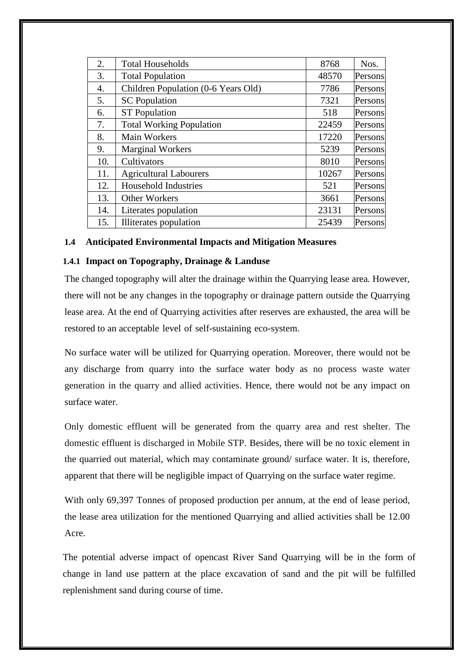| 2.  | <b>Total Households</b>             | 8768  | Nos.    |
|-----|-------------------------------------|-------|---------|
| 3.  | <b>Total Population</b>             | 48570 | Persons |
| 4.  | Children Population (0-6 Years Old) | 7786  | Persons |
| 5.  | <b>SC</b> Population                | 7321  | Persons |
| 6.  | <b>ST</b> Population                | 518   | Persons |
| 7.  | <b>Total Working Population</b>     | 22459 | Persons |
| 8.  | Main Workers                        | 17220 | Persons |
| 9.  | <b>Marginal Workers</b>             | 5239  | Persons |
| 10. | Cultivators                         | 8010  | Persons |
| 11. | <b>Agricultural Labourers</b>       | 10267 | Persons |
| 12. | <b>Household Industries</b>         | 521   | Persons |
| 13. | <b>Other Workers</b>                | 3661  | Persons |
| 14. | Literates population                | 23131 | Persons |
| 15. | Illiterates population              | 25439 | Persons |

# **1.4 Anticipated Environmental Impacts and Mitigation Measures**

# **1.4.1 Impact on Topography, Drainage & Landuse**

The changed topography will alter the drainage within the Quarrying lease area. However, there will not be any changes in the topography or drainage pattern outside the Quarrying lease area. At the end of Quarrying activities after reserves are exhausted, the area will be restored to an acceptable level of self-sustaining eco-system.

No surface water will be utilized for Quarrying operation. Moreover, there would not be any discharge from quarry into the surface water body as no process waste water generation in the quarry and allied activities. Hence, there would not be any impact on surface water.

Only domestic effluent will be generated from the quarry area and rest shelter. The domestic effluent is discharged in Mobile STP. Besides, there will be no toxic element in the quarried out material, which may contaminate ground/ surface water. It is, therefore, apparent that there will be negligible impact of Quarrying on the surface water regime.

With only 69,397 Tonnes of proposed production per annum, at the end of lease period, the lease area utilization for the mentioned Quarrying and allied activities shall be 12.00 Acre.

The potential adverse impact of opencast River Sand Quarrying will be in the form of change in land use pattern at the place excavation of sand and the pit will be fulfilled replenishment sand during course of time.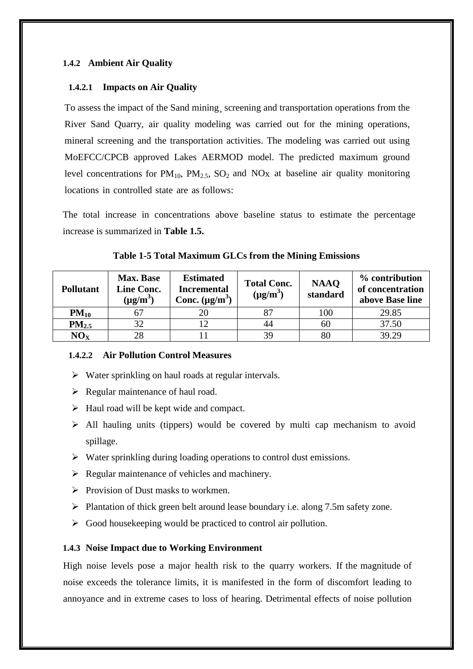# **1.4.2 Ambient Air Quality**

# **1.4.2.1 Impacts on Air Quality**

To assess the impact of the Sand mining¸ screening and transportation operations from the River Sand Quarry, air quality modeling was carried out for the mining operations, mineral screening and the transportation activities. The modeling was carried out using MoEFCC/CPCB approved Lakes AERMOD model. The predicted maximum ground level concentrations for  $PM_{10}$ ,  $PM_{2.5}$ ,  $SO_2$  and  $NOx$  at baseline air quality monitoring locations in controlled state are as follows:

The total increase in concentrations above baseline status to estimate the percentage increase is summarized in **Table 1.5.**

| <b>Pollutant</b>  | <b>Max. Base</b><br><b>Line Conc.</b><br>$(\mu g/m^3)$ | <b>Estimated</b><br><b>Incremental</b><br>Conc. $(\mu g/m^3)$ | <b>Total Conc.</b><br>$(\mu g/m^3)$ | <b>NAAQ</b><br>standard | % contribution<br>of concentration<br>above Base line |
|-------------------|--------------------------------------------------------|---------------------------------------------------------------|-------------------------------------|-------------------------|-------------------------------------------------------|
| $PM_{10}$         | 67                                                     |                                                               | 87                                  | 100                     | 29.85                                                 |
| PM <sub>2.5</sub> | 32                                                     |                                                               | 44                                  | 60                      | 37.50                                                 |
| NO <sub>X</sub>   | 28                                                     |                                                               | 39                                  | 80                      | 39.29                                                 |

**Table 1-5 Total Maximum GLCs from the Mining Emissions**

## **1.4.2.2 Air Pollution Control Measures**

- $\triangleright$  Water sprinkling on haul roads at regular intervals.
- $\triangleright$  Regular maintenance of haul road.
- $\triangleright$  Haul road will be kept wide and compact.
- $\triangleright$  All hauling units (tippers) would be covered by multi cap mechanism to avoid spillage.
- $\triangleright$  Water sprinkling during loading operations to control dust emissions.
- $\triangleright$  Regular maintenance of vehicles and machinery.
- $\triangleright$  Provision of Dust masks to workmen.
- $\triangleright$  Plantation of thick green belt around lease boundary i.e. along 7.5m safety zone.
- $\triangleright$  Good house keeping would be practiced to control air pollution.

## **1.4.3 Noise Impact due to Working Environment**

High noise levels pose a major health risk to the quarry workers. If the magnitude of noise exceeds the tolerance limits, it is manifested in the form of discomfort leading to annoyance and in extreme cases to loss of hearing. Detrimental effects of noise pollution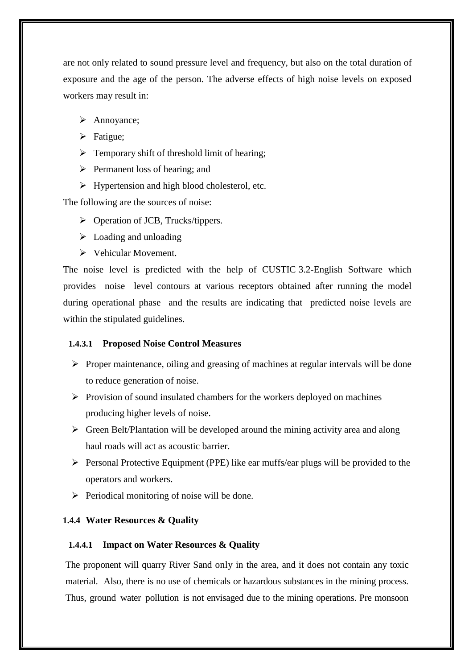are not only related to sound pressure level and frequency, but also on the total duration of exposure and the age of the person. The adverse effects of high noise levels on exposed workers may result in:

- > Annoyance:
- > Fatigue:
- $\triangleright$  Temporary shift of threshold limit of hearing;
- $\triangleright$  Permanent loss of hearing; and
- $\triangleright$  Hypertension and high blood cholesterol, etc.

The following are the sources of noise:

- $\triangleright$  Operation of JCB, Trucks/tippers.
- $\triangleright$  Loading and unloading
- $\triangleright$  Vehicular Movement.

The noise level is predicted with the help of CUSTIC 3.2-English Software which provides noise level contours at various receptors obtained after running the model during operational phase and the results are indicating that predicted noise levels are within the stipulated guidelines.

## **1.4.3.1 Proposed Noise Control Measures**

- $\triangleright$  Proper maintenance, oiling and greasing of machines at regular intervals will be done to reduce generation of noise.
- $\triangleright$  Provision of sound insulated chambers for the workers deployed on machines producing higher levels of noise.
- $\triangleright$  Green Belt/Plantation will be developed around the mining activity area and along haul roads will act as acoustic barrier.
- $\triangleright$  Personal Protective Equipment (PPE) like ear muffs/ear plugs will be provided to the operators and workers.
- $\triangleright$  Periodical monitoring of noise will be done.

## **1.4.4 Water Resources & Quality**

# **1.4.4.1 Impact on Water Resources & Quality**

The proponent will quarry River Sand only in the area, and it does not contain any toxic material. Also, there is no use of chemicals or hazardous substances in the mining process. Thus, ground water pollution is not envisaged due to the mining operations. Pre monsoon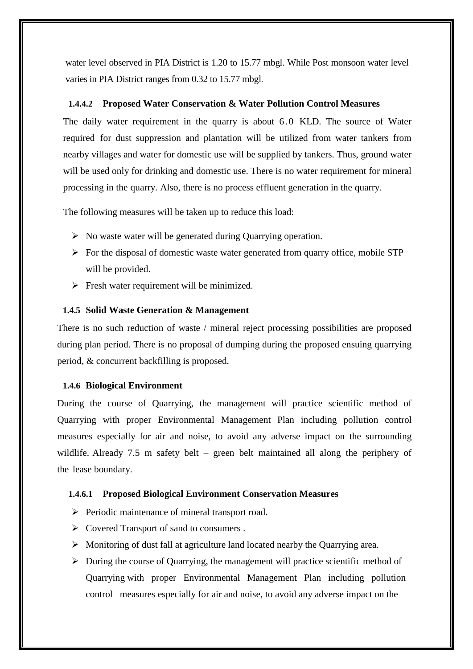water level observed in PIA District is 1.20 to 15.77 mbgl. While Post monsoon water level varies in PIA District ranges from 0.32 to 15.77 mbgl.

## **1.4.4.2 Proposed Water Conservation & Water Pollution Control Measures**

The daily water requirement in the quarry is about 6.0 KLD. The source of Water required for dust suppression and plantation will be utilized from water tankers from nearby villages and water for domestic use will be supplied by tankers. Thus, ground water will be used only for drinking and domestic use. There is no water requirement for mineral processing in the quarry. Also, there is no process effluent generation in the quarry.

The following measures will be taken up to reduce this load:

- $\triangleright$  No waste water will be generated during Quarrying operation.
- $\triangleright$  For the disposal of domestic waste water generated from quarry office, mobile STP will be provided.
- $\triangleright$  Fresh water requirement will be minimized.

# **1.4.5 Solid Waste Generation & Management**

There is no such reduction of waste / mineral reject processing possibilities are proposed during plan period. There is no proposal of dumping during the proposed ensuing quarrying period, & concurrent backfilling is proposed.

## **1.4.6 Biological Environment**

During the course of Quarrying, the management will practice scientific method of Quarrying with proper Environmental Management Plan including pollution control measures especially for air and noise, to avoid any adverse impact on the surrounding wildlife. Already 7.5 m safety belt – green belt maintained all along the periphery of the lease boundary.

## **1.4.6.1 Proposed Biological Environment Conservation Measures**

- $\triangleright$  Periodic maintenance of mineral transport road.
- $\triangleright$  Covered Transport of sand to consumers.
- $\triangleright$  Monitoring of dust fall at agriculture land located nearby the Quarrying area.
- $\triangleright$  During the course of Quarrying, the management will practice scientific method of Quarrying with proper Environmental Management Plan including pollution control measures especially for air and noise, to avoid any adverse impact on the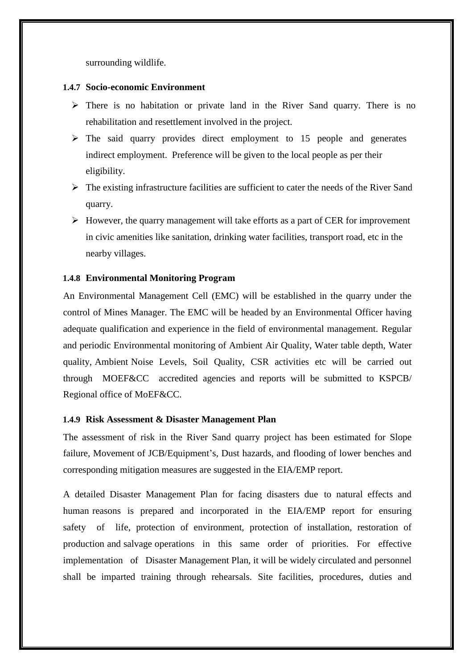surrounding wildlife.

## **1.4.7 Socio-economic Environment**

- $\triangleright$  There is no habitation or private land in the River Sand quarry. There is no rehabilitation and resettlement involved in the project.
- $\triangleright$  The said quarry provides direct employment to 15 people and generates indirect employment. Preference will be given to the local people as per their eligibility.
- $\triangleright$  The existing infrastructure facilities are sufficient to cater the needs of the River Sand quarry.
- $\triangleright$  However, the quarry management will take efforts as a part of CER for improvement in civic amenities like sanitation, drinking water facilities, transport road, etc in the nearby villages.

# **1.4.8 Environmental Monitoring Program**

An Environmental Management Cell (EMC) will be established in the quarry under the control of Mines Manager. The EMC will be headed by an Environmental Officer having adequate qualification and experience in the field of environmental management. Regular and periodic Environmental monitoring of Ambient Air Quality, Water table depth, Water quality, Ambient Noise Levels, Soil Quality, CSR activities etc will be carried out through MOEF&CC accredited agencies and reports will be submitted to KSPCB/ Regional office of MoEF&CC.

## **1.4.9 Risk Assessment & Disaster Management Plan**

The assessment of risk in the River Sand quarry project has been estimated for Slope failure, Movement of JCB/Equipment's, Dust hazards, and flooding of lower benches and corresponding mitigation measures are suggested in the EIA/EMP report.

A detailed Disaster Management Plan for facing disasters due to natural effects and human reasons is prepared and incorporated in the EIA/EMP report for ensuring safety of life, protection of environment, protection of installation, restoration of production and salvage operations in this same order of priorities. For effective implementation of Disaster Management Plan, it will be widely circulated and personnel shall be imparted training through rehearsals. Site facilities, procedures, duties and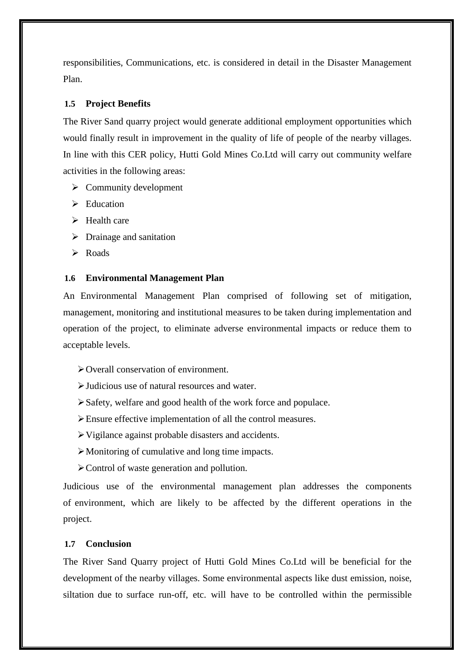responsibilities, Communications, etc. is considered in detail in the Disaster Management Plan.

# **1.5 Project Benefits**

The River Sand quarry project would generate additional employment opportunities which would finally result in improvement in the quality of life of people of the nearby villages. In line with this CER policy, Hutti Gold Mines Co.Ltd will carry out community welfare activities in the following areas:

- $\triangleright$  Community development
- $\triangleright$  Education
- $\triangleright$  Health care
- $\triangleright$  Drainage and sanitation
- $\triangleright$  Roads

# **1.6 Environmental Management Plan**

An Environmental Management Plan comprised of following set of mitigation, management, monitoring and institutional measures to be taken during implementation and operation of the project, to eliminate adverse environmental impacts or reduce them to acceptable levels.

- Overall conservation of environment.
- Judicious use of natural resources and water.
- Safety, welfare and good health of the work force and populace.
- Ensure effective implementation of all the control measures.
- Vigilance against probable disasters and accidents.
- Monitoring of cumulative and long time impacts.
- Control of waste generation and pollution.

Judicious use of the environmental management plan addresses the components of environment, which are likely to be affected by the different operations in the project.

# **1.7 Conclusion**

The River Sand Quarry project of Hutti Gold Mines Co.Ltd will be beneficial for the development of the nearby villages. Some environmental aspects like dust emission, noise, siltation due to surface run-off, etc. will have to be controlled within the permissible